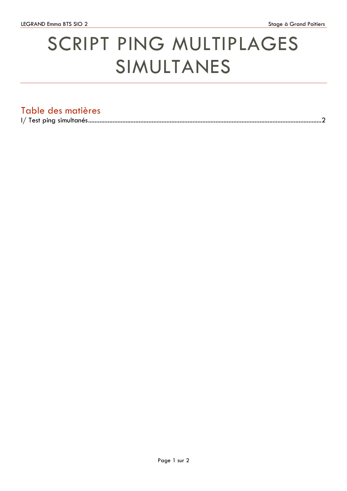## SCRIPT PING MULTIPLAGES SIMULTANES

## Table des matières

|--|--|